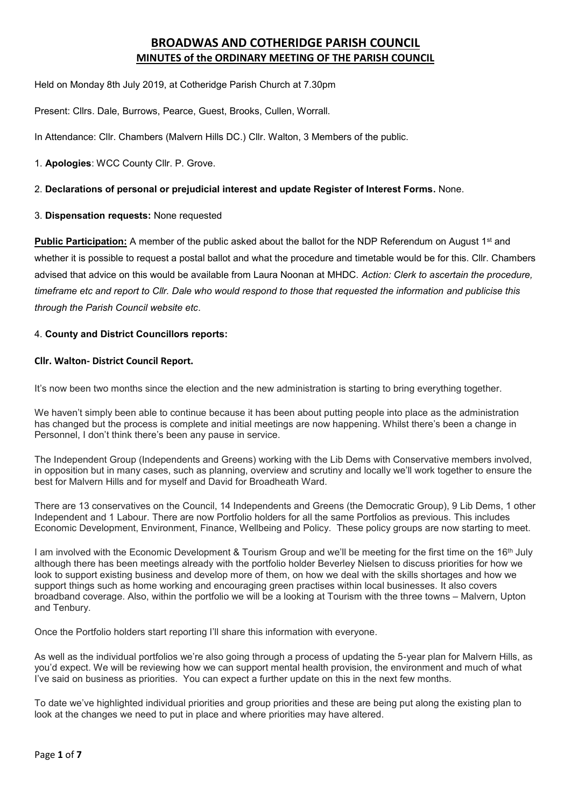# **BROADWAS AND COTHERIDGE PARISH COUNCIL MINUTES of the ORDINARY MEETING OF THE PARISH COUNCIL**

Held on Monday 8th July 2019, at Cotheridge Parish Church at 7.30pm

Present: Cllrs. Dale, Burrows, Pearce, Guest, Brooks, Cullen, Worrall.

In Attendance: Cllr. Chambers (Malvern Hills DC.) Cllr. Walton, 3 Members of the public.

1. **Apologies**: WCC County Cllr. P. Grove.

## 2. **Declarations of personal or prejudicial interest and update Register of Interest Forms.** None.

# 3. **Dispensation requests:** None requested

**Public Participation:** A member of the public asked about the ballot for the NDP Referendum on August 1<sup>st</sup> and whether it is possible to request a postal ballot and what the procedure and timetable would be for this. Cllr. Chambers advised that advice on this would be available from Laura Noonan at MHDC. *Action: Clerk to ascertain the procedure, timeframe etc and report to Cllr. Dale who would respond to those that requested the information and publicise this through the Parish Council website etc*.

## 4. **County and District Councillors reports:**

## **Cllr. Walton- District Council Report.**

It's now been two months since the election and the new administration is starting to bring everything together.

We haven't simply been able to continue because it has been about putting people into place as the administration has changed but the process is complete and initial meetings are now happening. Whilst there's been a change in Personnel, I don't think there's been any pause in service.

The Independent Group (Independents and Greens) working with the Lib Dems with Conservative members involved, in opposition but in many cases, such as planning, overview and scrutiny and locally we'll work together to ensure the best for Malvern Hills and for myself and David for Broadheath Ward.

There are 13 conservatives on the Council, 14 Independents and Greens (the Democratic Group), 9 Lib Dems, 1 other Independent and 1 Labour. There are now Portfolio holders for all the same Portfolios as previous. This includes Economic Development, Environment, Finance, Wellbeing and Policy. These policy groups are now starting to meet.

I am involved with the Economic Development & Tourism Group and we'll be meeting for the first time on the 16<sup>th</sup> July although there has been meetings already with the portfolio holder Beverley Nielsen to discuss priorities for how we look to support existing business and develop more of them, on how we deal with the skills shortages and how we support things such as home working and encouraging green practises within local businesses. It also covers broadband coverage. Also, within the portfolio we will be a looking at Tourism with the three towns – Malvern, Upton and Tenbury.

Once the Portfolio holders start reporting I'll share this information with everyone.

As well as the individual portfolios we're also going through a process of updating the 5-year plan for Malvern Hills, as you'd expect. We will be reviewing how we can support mental health provision, the environment and much of what I've said on business as priorities. You can expect a further update on this in the next few months.

To date we've highlighted individual priorities and group priorities and these are being put along the existing plan to look at the changes we need to put in place and where priorities may have altered.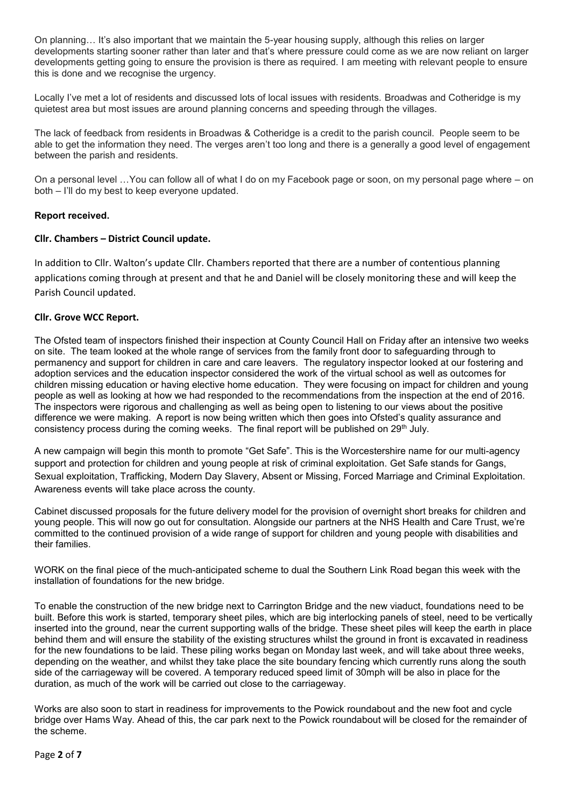On planning… It's also important that we maintain the 5-year housing supply, although this relies on larger developments starting sooner rather than later and that's where pressure could come as we are now reliant on larger developments getting going to ensure the provision is there as required. I am meeting with relevant people to ensure this is done and we recognise the urgency.

Locally I've met a lot of residents and discussed lots of local issues with residents. Broadwas and Cotheridge is my quietest area but most issues are around planning concerns and speeding through the villages.

The lack of feedback from residents in Broadwas & Cotheridge is a credit to the parish council. People seem to be able to get the information they need. The verges aren't too long and there is a generally a good level of engagement between the parish and residents.

On a personal level …You can follow all of what I do on my Facebook page or soon, on my personal page where – on both – I'll do my best to keep everyone updated.

#### **Report received.**

#### **Cllr. Chambers – District Council update.**

In addition to Cllr. Walton's update Cllr. Chambers reported that there are a number of contentious planning applications coming through at present and that he and Daniel will be closely monitoring these and will keep the Parish Council updated.

#### **Cllr. Grove WCC Report.**

The Ofsted team of inspectors finished their inspection at County Council Hall on Friday after an intensive two weeks on site. The team looked at the whole range of services from the family front door to safeguarding through to permanency and support for children in care and care leavers. The regulatory inspector looked at our fostering and adoption services and the education inspector considered the work of the virtual school as well as outcomes for children missing education or having elective home education. They were focusing on impact for children and young people as well as looking at how we had responded to the recommendations from the inspection at the end of 2016. The inspectors were rigorous and challenging as well as being open to listening to our views about the positive difference we were making. A report is now being written which then goes into Ofsted's quality assurance and consistency process during the coming weeks. The final report will be published on 29<sup>th</sup> July.

A new campaign will begin this month to promote "Get Safe". This is the Worcestershire name for our multi-agency support and protection for children and young people at risk of criminal exploitation. Get Safe stands for Gangs, Sexual exploitation, Trafficking, Modern Day Slavery, Absent or Missing, Forced Marriage and Criminal Exploitation. Awareness events will take place across the county.

Cabinet discussed proposals for the future delivery model for the provision of overnight short breaks for children and young people. This will now go out for consultation. Alongside our partners at the NHS Health and Care Trust, we're committed to the continued provision of a wide range of support for children and young people with disabilities and their families.

WORK on the final piece of the much-anticipated scheme to dual the Southern Link Road began this week with the installation of foundations for the new bridge.

To enable the construction of the new bridge next to Carrington Bridge and the new viaduct, foundations need to be built. Before this work is started, temporary sheet piles, which are big interlocking panels of steel, need to be vertically inserted into the ground, near the current supporting walls of the bridge. These sheet piles will keep the earth in place behind them and will ensure the stability of the existing structures whilst the ground in front is excavated in readiness for the new foundations to be laid. These piling works began on Monday last week, and will take about three weeks, depending on the weather, and whilst they take place the site boundary fencing which currently runs along the south side of the carriageway will be covered. A temporary reduced speed limit of 30mph will be also in place for the duration, as much of the work will be carried out close to the carriageway.

Works are also soon to start in readiness for improvements to the Powick roundabout and the new foot and cycle bridge over Hams Way. Ahead of this, the car park next to the Powick roundabout will be closed for the remainder of the scheme.

Page **2** of **7**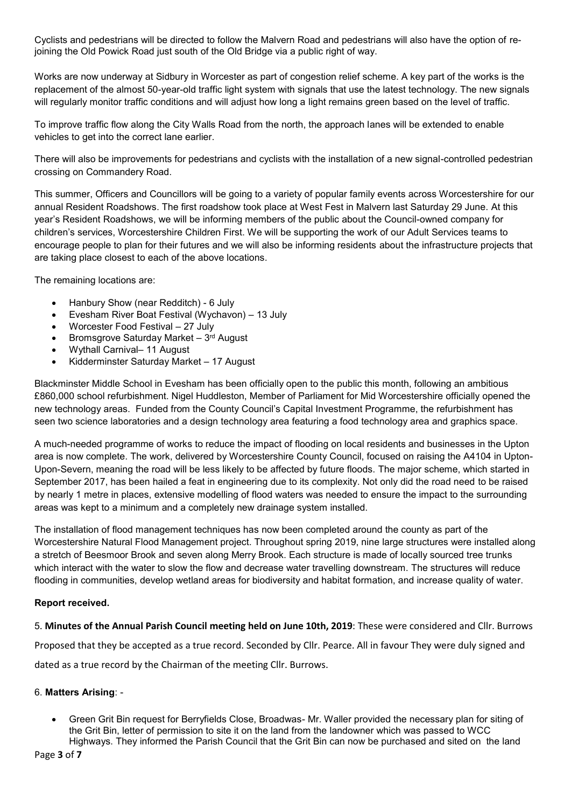Cyclists and pedestrians will be directed to follow the Malvern Road and pedestrians will also have the option of rejoining the Old Powick Road just south of the Old Bridge via a public right of way.

Works are now underway at Sidbury in Worcester as part of congestion relief scheme. A key part of the works is the replacement of the almost 50-year-old traffic light system with signals that use the latest technology. The new signals will regularly monitor traffic conditions and will adjust how long a light remains green based on the level of traffic.

To improve traffic flow along the City Walls Road from the north, the approach lanes will be extended to enable vehicles to get into the correct lane earlier.

There will also be improvements for pedestrians and cyclists with the installation of a new signal-controlled pedestrian crossing on Commandery Road.

This summer, Officers and Councillors will be going to a variety of popular family events across Worcestershire for our annual Resident Roadshows. The first roadshow took place at West Fest in Malvern last Saturday 29 June. At this year's Resident Roadshows, we will be informing members of the public about the Council-owned company for children's services, Worcestershire Children First. We will be supporting the work of our Adult Services teams to encourage people to plan for their futures and we will also be informing residents about the infrastructure projects that are taking place closest to each of the above locations.

The remaining locations are:

- Hanbury Show (near Redditch) 6 July
- Evesham River Boat Festival (Wychavon) 13 July
- Worcester Food Festival 27 July
- Bromsgrove Saturday Market 3<sup>rd</sup> August
- Wythall Carnival– 11 August
- Kidderminster Saturday Market 17 August

Blackminster Middle School in Evesham has been officially open to the public this month, following an ambitious £860,000 school refurbishment. Nigel Huddleston, Member of Parliament for Mid Worcestershire officially opened the new technology areas. Funded from the County Council's Capital Investment Programme, the refurbishment has seen two science laboratories and a design technology area featuring a food technology area and graphics space.

A much-needed programme of works to reduce the impact of flooding on local residents and businesses in the Upton area is now complete. The work, delivered by Worcestershire County Council, focused on raising the A4104 in Upton-Upon-Severn, meaning the road will be less likely to be affected by future floods. The major scheme, which started in September 2017, has been hailed a feat in engineering due to its complexity. Not only did the road need to be raised by nearly 1 metre in places, extensive modelling of flood waters was needed to ensure the impact to the surrounding areas was kept to a minimum and a completely new drainage system installed.

The installation of flood management techniques has now been completed around the county as part of the Worcestershire Natural Flood Management project. Throughout spring 2019, nine large structures were installed along a stretch of Beesmoor Brook and seven along Merry Brook. Each structure is made of locally sourced tree trunks which interact with the water to slow the flow and decrease water travelling downstream. The structures will reduce flooding in communities, develop wetland areas for biodiversity and habitat formation, and increase quality of water.

## **Report received.**

5. **Minutes of the Annual Parish Council meeting held on June 10th, 2019**: These were considered and Cllr. Burrows

Proposed that they be accepted as a true record. Seconded by Cllr. Pearce. All in favour They were duly signed and

dated as a true record by the Chairman of the meeting Cllr. Burrows.

## 6. **Matters Arising**: -

• Green Grit Bin request for Berryfields Close, Broadwas- Mr. Waller provided the necessary plan for siting of the Grit Bin, letter of permission to site it on the land from the landowner which was passed to WCC Highways. They informed the Parish Council that the Grit Bin can now be purchased and sited on the land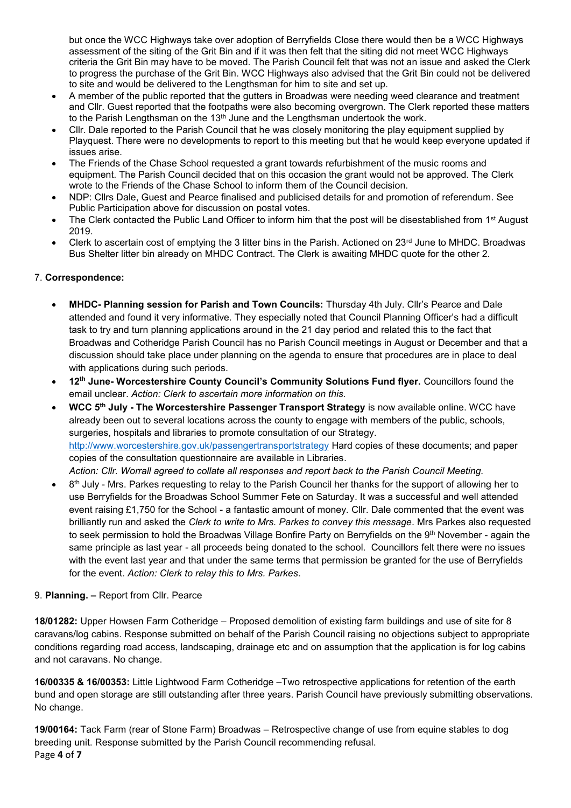but once the WCC Highways take over adoption of Berryfields Close there would then be a WCC Highways assessment of the siting of the Grit Bin and if it was then felt that the siting did not meet WCC Highways criteria the Grit Bin may have to be moved. The Parish Council felt that was not an issue and asked the Clerk to progress the purchase of the Grit Bin. WCC Highways also advised that the Grit Bin could not be delivered to site and would be delivered to the Lengthsman for him to site and set up.

- A member of the public reported that the gutters in Broadwas were needing weed clearance and treatment and Cllr. Guest reported that the footpaths were also becoming overgrown. The Clerk reported these matters to the Parish Lengthsman on the  $13<sup>th</sup>$  June and the Lengthsman undertook the work.
- Cllr. Dale reported to the Parish Council that he was closely monitoring the play equipment supplied by Playquest. There were no developments to report to this meeting but that he would keep everyone updated if issues arise.
- The Friends of the Chase School requested a grant towards refurbishment of the music rooms and equipment. The Parish Council decided that on this occasion the grant would not be approved. The Clerk wrote to the Friends of the Chase School to inform them of the Council decision.
- NDP: Cllrs Dale, Guest and Pearce finalised and publicised details for and promotion of referendum. See Public Participation above for discussion on postal votes.
- The Clerk contacted the Public Land Officer to inform him that the post will be disestablished from 1<sup>st</sup> August 2019.
- Clerk to ascertain cost of emptying the 3 litter bins in the Parish. Actioned on 23rd June to MHDC. Broadwas Bus Shelter litter bin already on MHDC Contract. The Clerk is awaiting MHDC quote for the other 2.

# 7. **Correspondence:**

- **MHDC- Planning session for Parish and Town Councils:** Thursday 4th July. Cllr's Pearce and Dale attended and found it very informative. They especially noted that Council Planning Officer's had a difficult task to try and turn planning applications around in the 21 day period and related this to the fact that Broadwas and Cotheridge Parish Council has no Parish Council meetings in August or December and that a discussion should take place under planning on the agenda to ensure that procedures are in place to deal with applications during such periods.
- **12th June- Worcestershire County Council's Community Solutions Fund flyer.** Councillors found the email unclear. *Action: Clerk to ascertain more information on this.*
- **WCC 5th July - The Worcestershire Passenger Transport Strategy** is now available online. WCC have already been out to several locations across the county to engage with members of the public, schools, surgeries, hospitals and libraries to promote consultation of our Strategy. <http://www.worcestershire.gov.uk/passengertransportstrategy> Hard copies of these documents; and paper copies of the consultation questionnaire are available in Libraries. *Action: Cllr. Worrall agreed to collate all responses and report back to the Parish Council Meeting.*
- $\bullet$  8<sup>th</sup> July Mrs. Parkes requesting to relay to the Parish Council her thanks for the support of allowing her to use Berryfields for the Broadwas School Summer Fete on Saturday. It was a successful and well attended event raising £1,750 for the School - a fantastic amount of money. Cllr. Dale commented that the event was brilliantly run and asked the *Clerk to write to Mrs. Parkes to convey this message*. Mrs Parkes also requested to seek permission to hold the Broadwas Village Bonfire Party on Berryfields on the 9<sup>th</sup> November - again the same principle as last year - all proceeds being donated to the school. Councillors felt there were no issues with the event last year and that under the same terms that permission be granted for the use of Berryfields for the event. *Action: Clerk to relay this to Mrs. Parkes*.

## 9. **Planning. –** Report from Cllr. Pearce

**18/01282:** Upper Howsen Farm Cotheridge – Proposed demolition of existing farm buildings and use of site for 8 caravans/log cabins. Response submitted on behalf of the Parish Council raising no objections subject to appropriate conditions regarding road access, landscaping, drainage etc and on assumption that the application is for log cabins and not caravans. No change.

**16/00335 & 16/00353:** Little Lightwood Farm Cotheridge –Two retrospective applications for retention of the earth bund and open storage are still outstanding after three years. Parish Council have previously submitting observations. No change.

Page **4** of **7 19/00164:** Tack Farm (rear of Stone Farm) Broadwas – Retrospective change of use from equine stables to dog breeding unit. Response submitted by the Parish Council recommending refusal.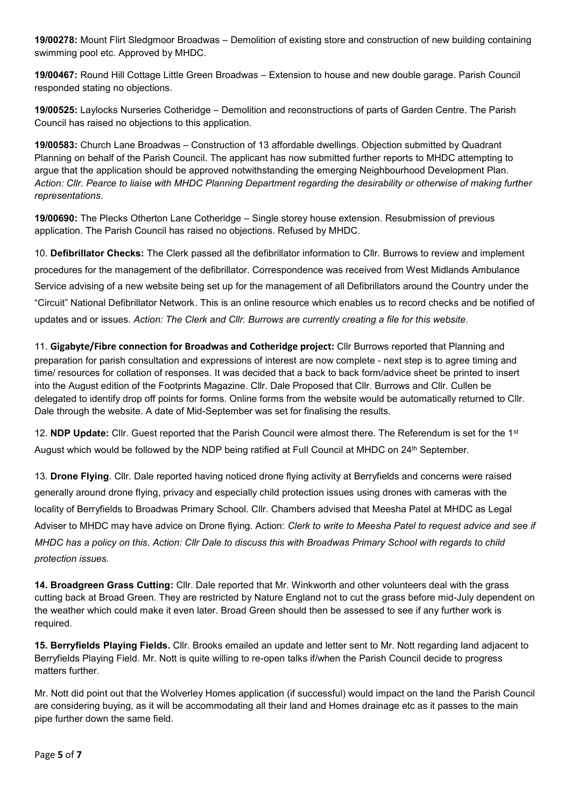**19/00278:** Mount Flirt Sledgmoor Broadwas – Demolition of existing store and construction of new building containing swimming pool etc. Approved by MHDC.

**19/00467:** Round Hill Cottage Little Green Broadwas – Extension to house and new double garage. Parish Council responded stating no objections.

**19/00525:** Laylocks Nurseries Cotheridge – Demolition and reconstructions of parts of Garden Centre. The Parish Council has raised no objections to this application.

**19/00583:** Church Lane Broadwas – Construction of 13 affordable dwellings. Objection submitted by Quadrant Planning on behalf of the Parish Council. The applicant has now submitted further reports to MHDC attempting to argue that the application should be approved notwithstanding the emerging Neighbourhood Development Plan. *Action: Cllr. Pearce to liaise with MHDC Planning Department regarding the desirability or otherwise of making further representations*.

**19/00690:** The Plecks Otherton Lane Cotheridge – Single storey house extension. Resubmission of previous application. The Parish Council has raised no objections. Refused by MHDC.

10. **Defibrillator Checks:** The Clerk passed all the defibrillator information to Cllr. Burrows to review and implement procedures for the management of the defibrillator. Correspondence was received from West Midlands Ambulance Service advising of a new website being set up for the management of all Defibrillators around the Country under the "Circuit" National Defibrillator Network. This is an online resource which enables us to record checks and be notified of updates and or issues. *Action: The Clerk and Cllr. Burrows are currently creating a file for this website*.

11. **Gigabyte/Fibre connection for Broadwas and Cotheridge project:** Cllr Burrows reported that Planning and preparation for parish consultation and expressions of interest are now complete - next step is to agree timing and time/ resources for collation of responses. It was decided that a back to back form/advice sheet be printed to insert into the August edition of the Footprints Magazine. Cllr. Dale Proposed that Cllr. Burrows and Cllr. Cullen be delegated to identify drop off points for forms. Online forms from the website would be automatically returned to Cllr. Dale through the website. A date of Mid-September was set for finalising the results.

12. **NDP Update:** Cllr. Guest reported that the Parish Council were almost there. The Referendum is set for the 1st August which would be followed by the NDP being ratified at Full Council at MHDC on 24th September.

13. **Drone Flying**. Cllr. Dale reported having noticed drone flying activity at Berryfields and concerns were raised generally around drone flying, privacy and especially child protection issues using drones with cameras with the locality of Berryfields to Broadwas Primary School. Cllr. Chambers advised that Meesha Patel at MHDC as Legal Adviser to MHDC may have advice on Drone flying. Action: *Clerk to write to Meesha Patel to request advice and see if MHDC has a policy on this*. *Action: Cllr Dale to discuss this with Broadwas Primary School with regards to child protection issues.*

**14. Broadgreen Grass Cutting:** Cllr. Dale reported that Mr. Winkworth and other volunteers deal with the grass cutting back at Broad Green. They are restricted by Nature England not to cut the grass before mid-July dependent on the weather which could make it even later. Broad Green should then be assessed to see if any further work is required.

**15. Berryfields Playing Fields.** Cllr. Brooks emailed an update and letter sent to Mr. Nott regarding land adjacent to Berryfields Playing Field. Mr. Nott is quite willing to re-open talks if/when the Parish Council decide to progress matters further.

Mr. Nott did point out that the Wolverley Homes application (if successful) would impact on the land the Parish Council are considering buying, as it will be accommodating all their land and Homes drainage etc as it passes to the main pipe further down the same field.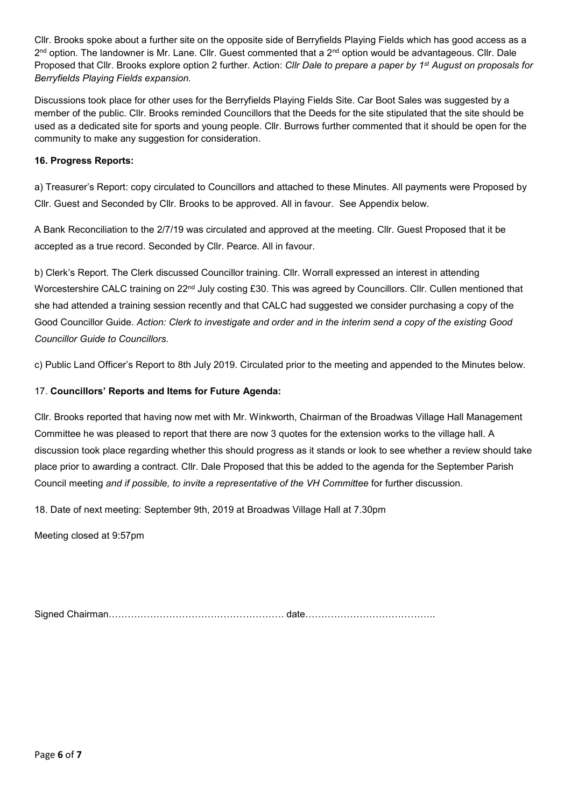Cllr. Brooks spoke about a further site on the opposite side of Berryfields Playing Fields which has good access as a 2<sup>nd</sup> option. The landowner is Mr. Lane. Cllr. Guest commented that a 2<sup>nd</sup> option would be advantageous. Cllr. Dale Proposed that Cllr. Brooks explore option 2 further. Action: *Cllr Dale to prepare a paper by 1st August on proposals for Berryfields Playing Fields expansion.*

Discussions took place for other uses for the Berryfields Playing Fields Site. Car Boot Sales was suggested by a member of the public. Cllr. Brooks reminded Councillors that the Deeds for the site stipulated that the site should be used as a dedicated site for sports and young people. Cllr. Burrows further commented that it should be open for the community to make any suggestion for consideration.

# **16. Progress Reports:**

a) Treasurer's Report: copy circulated to Councillors and attached to these Minutes. All payments were Proposed by Cllr. Guest and Seconded by Cllr. Brooks to be approved. All in favour. See Appendix below.

A Bank Reconciliation to the 2/7/19 was circulated and approved at the meeting. Cllr. Guest Proposed that it be accepted as a true record. Seconded by Cllr. Pearce. All in favour.

b) Clerk's Report. The Clerk discussed Councillor training. Cllr. Worrall expressed an interest in attending Worcestershire CALC training on 22<sup>nd</sup> July costing £30. This was agreed by Councillors. Cllr. Cullen mentioned that she had attended a training session recently and that CALC had suggested we consider purchasing a copy of the Good Councillor Guide. *Action: Clerk to investigate and order and in the interim send a copy of the existing Good Councillor Guide to Councillors.*

c) Public Land Officer's Report to 8th July 2019. Circulated prior to the meeting and appended to the Minutes below.

# 17. **Councillors' Reports and Items for Future Agenda:**

Cllr. Brooks reported that having now met with Mr. Winkworth, Chairman of the Broadwas Village Hall Management Committee he was pleased to report that there are now 3 quotes for the extension works to the village hall. A discussion took place regarding whether this should progress as it stands or look to see whether a review should take place prior to awarding a contract. Cllr. Dale Proposed that this be added to the agenda for the September Parish Council meeting *and if possible, to invite a representative of the VH Committee* for further discussion.

18. Date of next meeting: September 9th, 2019 at Broadwas Village Hall at 7.30pm

Meeting closed at 9:57pm

Signed Chairman………………………………………………. date…………………………………..